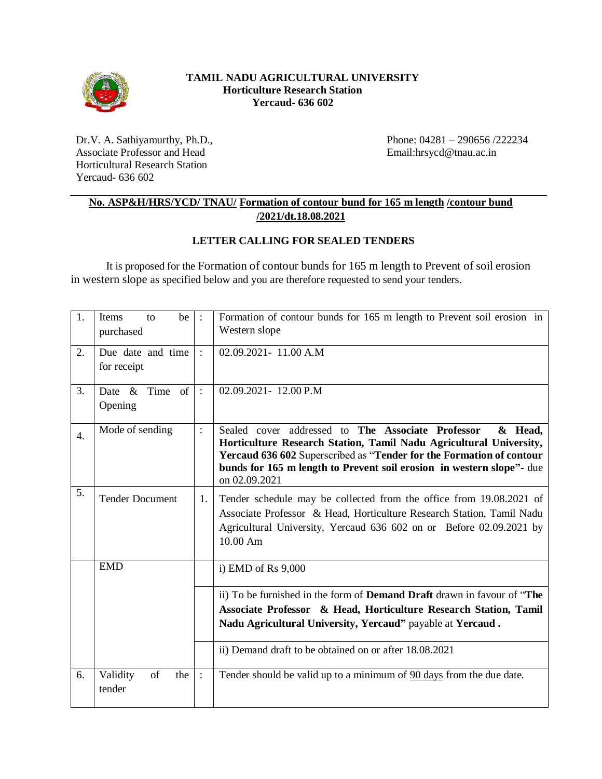

## **TAMIL NADU AGRICULTURAL UNIVERSITY Horticulture Research Station Yercaud- 636 602**

Dr.V. A. Sathiyamurthy, Ph.D., Associate Professor and Head Horticultural Research Station Yercaud- 636 602

Phone: 04281 – 290656 /222234 Email:hrsycd@tnau.ac.in

## **No. ASP&H/HRS/YCD/ TNAU/ Formation of contour bund for 165 m length /contour bund /2021/dt.18.08.2021**

## **LETTER CALLING FOR SEALED TENDERS**

It is proposed for the Formation of contour bunds for 165 m length to Prevent of soil erosion in western slope as specified below and you are therefore requested to send your tenders.

| 1.               | be<br>Items<br>to<br>purchased   |                | Formation of contour bunds for 165 m length to Prevent soil erosion in<br>Western slope                                                                                                                                                                                                              |
|------------------|----------------------------------|----------------|------------------------------------------------------------------------------------------------------------------------------------------------------------------------------------------------------------------------------------------------------------------------------------------------------|
| 2.               | Due date and time<br>for receipt | $\ddot{\cdot}$ | 02.09.2021-11.00 A.M                                                                                                                                                                                                                                                                                 |
| 3.               | Time of<br>Date $\&$<br>Opening  | $\cdot$        | 02.09.2021-12.00 P.M                                                                                                                                                                                                                                                                                 |
| $\overline{4}$ . | Mode of sending                  | $\colon$       | Sealed cover addressed to The Associate Professor<br>& Head,<br>Horticulture Research Station, Tamil Nadu Agricultural University,<br>Yercaud 636 602 Superscribed as "Tender for the Formation of contour<br>bunds for 165 m length to Prevent soil erosion in western slope"- due<br>on 02.09.2021 |
| 5.               | <b>Tender Document</b>           | 1.             | Tender schedule may be collected from the office from 19.08.2021 of<br>Associate Professor & Head, Horticulture Research Station, Tamil Nadu<br>Agricultural University, Yercaud 636 602 on or Before 02.09.2021 by<br>10.00 Am                                                                      |
|                  | <b>EMD</b>                       |                | i) EMD of Rs $9,000$                                                                                                                                                                                                                                                                                 |
|                  |                                  |                | ii) To be furnished in the form of <b>Demand Draft</b> drawn in favour of "The<br>Associate Professor & Head, Horticulture Research Station, Tamil<br>Nadu Agricultural University, Yercaud" payable at Yercaud.                                                                                     |
|                  |                                  |                | ii) Demand draft to be obtained on or after 18.08.2021                                                                                                                                                                                                                                               |
| 6.               | of<br>Validity<br>the<br>tender  | $\cdot$        | Tender should be valid up to a minimum of 90 days from the due date.                                                                                                                                                                                                                                 |